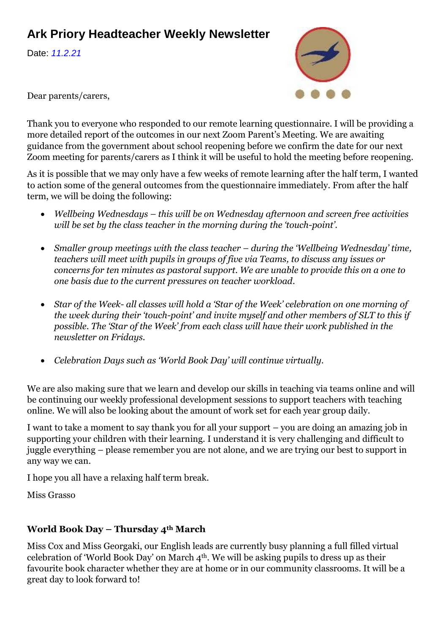# **Ark Priory Headteacher Weekly Newsletter**

Date: *11.2.21*



Dear parents/carers,

Thank you to everyone who responded to our remote learning questionnaire. I will be providing a more detailed report of the outcomes in our next Zoom Parent's Meeting. We are awaiting guidance from the government about school reopening before we confirm the date for our next Zoom meeting for parents/carers as I think it will be useful to hold the meeting before reopening.

As it is possible that we may only have a few weeks of remote learning after the half term, I wanted to action some of the general outcomes from the questionnaire immediately. From after the half term, we will be doing the following:

- *Wellbeing Wednesdays – this will be on Wednesday afternoon and screen free activities will be set by the class teacher in the morning during the 'touch-point'.*
- *Smaller group meetings with the class teacher – during the 'Wellbeing Wednesday' time, teachers will meet with pupils in groups of five via Teams, to discuss any issues or concerns for ten minutes as pastoral support. We are unable to provide this on a one to one basis due to the current pressures on teacher workload.*
- *Star of the Week- all classes will hold a 'Star of the Week' celebration on one morning of the week during their 'touch-point' and invite myself and other members of SLT to this if possible. The 'Star of the Week' from each class will have their work published in the newsletter on Fridays.*
- *Celebration Days such as 'World Book Day' will continue virtually.*

We are also making sure that we learn and develop our skills in teaching via teams online and will be continuing our weekly professional development sessions to support teachers with teaching online. We will also be looking about the amount of work set for each year group daily.

I want to take a moment to say thank you for all your support – you are doing an amazing job in supporting your children with their learning. I understand it is very challenging and difficult to juggle everything – please remember you are not alone, and we are trying our best to support in any way we can.

I hope you all have a relaxing half term break.

Miss Grasso

## **World Book Day – Thursday 4th March**

Miss Cox and Miss Georgaki, our English leads are currently busy planning a full filled virtual celebration of 'World Book Day' on March 4th. We will be asking pupils to dress up as their favourite book character whether they are at home or in our community classrooms. It will be a great day to look forward to!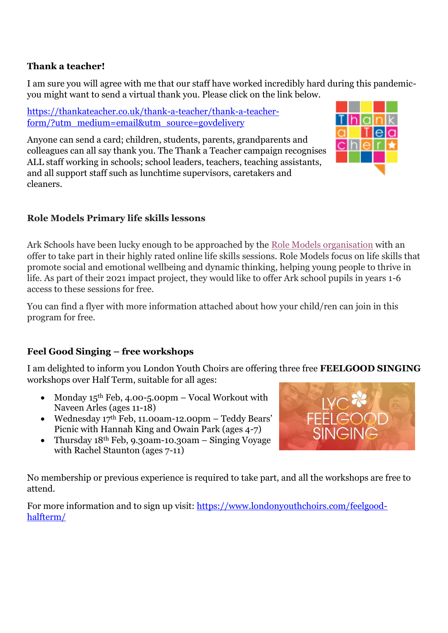### **Thank a teacher!**

I am sure you will agree with me that our staff have worked incredibly hard during this pandemicyou might want to send a virtual thank you. Please click on the link below.

[https://thankateacher.co.uk/thank-a-teacher/thank-a-teacher](https://thankateacher.co.uk/thank-a-teacher/thank-a-teacher-form/?utm_medium=email&utm_source=govdelivery)[form/?utm\\_medium=email&utm\\_source=govdelivery](https://thankateacher.co.uk/thank-a-teacher/thank-a-teacher-form/?utm_medium=email&utm_source=govdelivery)

Anyone can send a card; children, students, parents, grandparents and colleagues can all say thank you. The Thank a Teacher campaign recognises ALL staff working in schools; school leaders, teachers, teaching assistants, and all support staff such as lunchtime supervisors, caretakers and cleaners.



## **Role Models Primary life skills lessons**

Ark Schools have been lucky enough to be approached by the [Role Models organisation](https://arkonline.us4.list-manage.com/track/click?u=ef7afe149a0bca9ba00918fe6&id=099f453db6&e=3251bebedb) with an offer to take part in their highly rated online life skills sessions. Role Models focus on life skills that promote social and emotional wellbeing and dynamic thinking, helping young people to thrive in life. As part of their 2021 impact project, they would like to offer Ark school pupils in years 1-6 access to these sessions for free.

You can find a flyer with more information attached about how your child/ren can join in this program for free.

## **Feel Good Singing – free workshops**

I am delighted to inform you London Youth Choirs are offering three free **FEELGOOD SINGING** workshops over Half Term, suitable for all ages:

- Monday 15<sup>th</sup> Feb, 4.00-5.00pm Vocal Workout with Naveen Arles (ages 11-18)
- Wednesday 17th Feb, 11.00am-12.00pm Teddy Bears' Picnic with Hannah King and Owain Park (ages 4-7)
- Thursday 18th Feb, 9.30am-10.30am Singing Voyage with Rachel Staunton (ages 7-11)



No membership or previous experience is required to take part, and all the workshops are free to attend.

For more information and to sign up visit: [https://www.londonyouthchoirs.com/feelgood](https://www.londonyouthchoirs.com/feelgood-halfterm/)[halfterm/](https://www.londonyouthchoirs.com/feelgood-halfterm/)